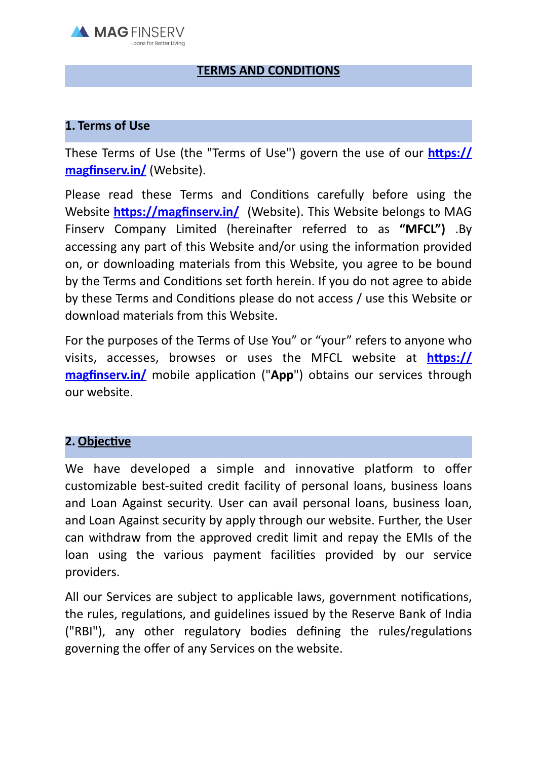

## **TERMS AND CONDITIONS**

### **1. Terms of Use**

These Terms of Use (the "Terms of Use") govern the use of our **https:// magfinserv.in/** (Website).

Please read these Terms and Conditions carefully before using the Website **https://magfinserv.in/** (Website). This Website belongs to MAG Finserv Company Limited (hereinafter referred to as **"MFCL")** .By accessing any part of this Website and/or using the information provided on, or downloading materials from this Website, you agree to be bound by the Terms and Conditions set forth herein. If you do not agree to abide by these Terms and Conditions please do not access / use this Website or download materials from this Website.

For the purposes of the Terms of Use You" or "your" refers to anyone who visits, accesses, browses or uses the MFCL website at **https:// magfinserv.in/** mobile application ("**App**") obtains our services through our website.

# **2. Objective**

We have developed a simple and innovative platform to offer customizable best-suited credit facility of personal loans, business loans and Loan Against security. User can avail personal loans, business loan, and Loan Against security by apply through our website. Further, the User can withdraw from the approved credit limit and repay the EMIs of the loan using the various payment facilities provided by our service providers.

All our Services are subject to applicable laws, government notifications, the rules, regulations, and guidelines issued by the Reserve Bank of India ("RBI"), any other regulatory bodies defining the rules/regulations governing the offer of any Services on the website.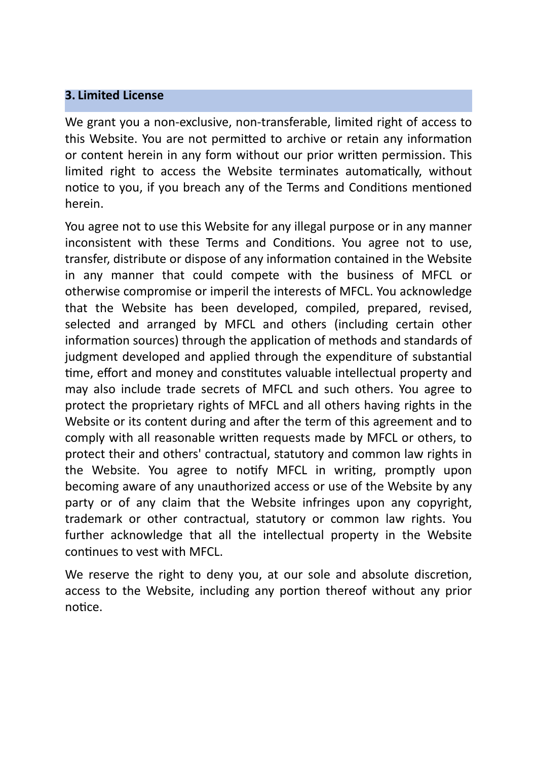# **3. Limited License**

We grant you a non-exclusive, non-transferable, limited right of access to this Website. You are not permitted to archive or retain any information or content herein in any form without our prior written permission. This limited right to access the Website terminates automatically, without notice to you, if you breach any of the Terms and Conditions mentioned herein.

You agree not to use this Website for any illegal purpose or in any manner inconsistent with these Terms and Conditions. You agree not to use, transfer, distribute or dispose of any information contained in the Website in any manner that could compete with the business of MFCL or otherwise compromise or imperil the interests of MFCL. You acknowledge that the Website has been developed, compiled, prepared, revised, selected and arranged by MFCL and others (including certain other information sources) through the application of methods and standards of judgment developed and applied through the expenditure of substantial time, effort and money and constitutes valuable intellectual property and may also include trade secrets of MFCL and such others. You agree to protect the proprietary rights of MFCL and all others having rights in the Website or its content during and after the term of this agreement and to comply with all reasonable written requests made by MFCL or others, to protect their and others' contractual, statutory and common law rights in the Website. You agree to notify MFCL in writing, promptly upon becoming aware of any unauthorized access or use of the Website by any party or of any claim that the Website infringes upon any copyright, trademark or other contractual, statutory or common law rights. You further acknowledge that all the intellectual property in the Website continues to vest with MFCL.

We reserve the right to deny you, at our sole and absolute discretion, access to the Website, including any portion thereof without any prior notice.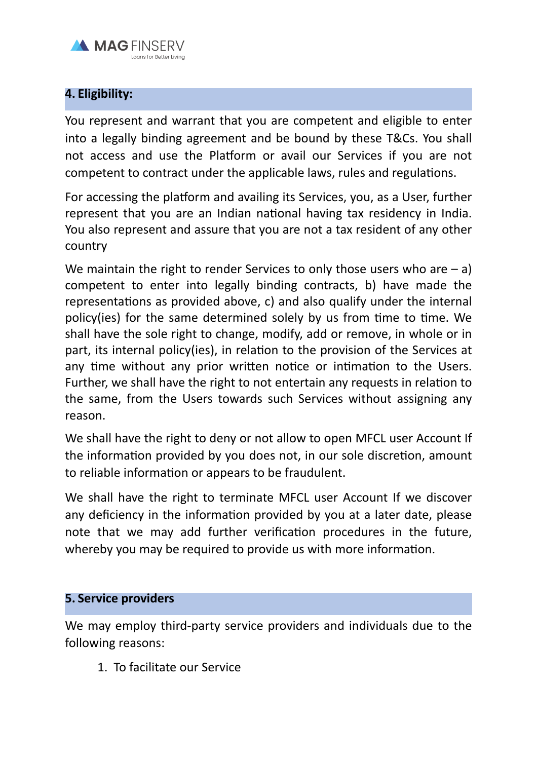

## **4. Eligibility:**

You represent and warrant that you are competent and eligible to enter into a legally binding agreement and be bound by these T&Cs. You shall not access and use the Platform or avail our Services if you are not competent to contract under the applicable laws, rules and regulations.

For accessing the platform and availing its Services, you, as a User, further represent that you are an Indian national having tax residency in India. You also represent and assure that you are not a tax resident of any other country

We maintain the right to render Services to only those users who are  $- a$ ) competent to enter into legally binding contracts, b) have made the representations as provided above, c) and also qualify under the internal policy(ies) for the same determined solely by us from time to time. We shall have the sole right to change, modify, add or remove, in whole or in part, its internal policy(ies), in relation to the provision of the Services at any time without any prior written notice or intimation to the Users. Further, we shall have the right to not entertain any requests in relation to the same, from the Users towards such Services without assigning any reason.

We shall have the right to deny or not allow to open MFCL user Account If the information provided by you does not, in our sole discretion, amount to reliable information or appears to be fraudulent.

We shall have the right to terminate MFCL user Account If we discover any deficiency in the information provided by you at a later date, please note that we may add further verification procedures in the future, whereby you may be required to provide us with more information.

### **5. Service providers**

We may employ third-party service providers and individuals due to the following reasons:

1. To facilitate our Service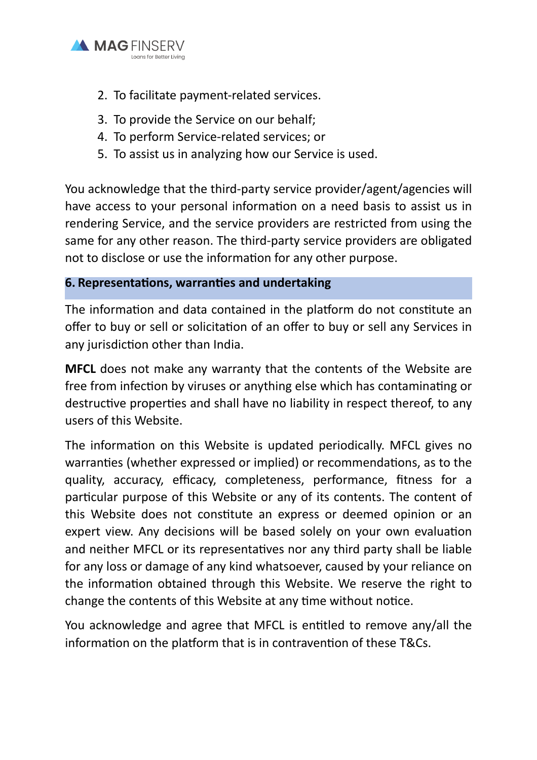

- 2. To facilitate payment-related services.
- 3. To provide the Service on our behalf;
- 4. To perform Service-related services; or
- 5. To assist us in analyzing how our Service is used.

You acknowledge that the third-party service provider/agent/agencies will have access to your personal information on a need basis to assist us in rendering Service, and the service providers are restricted from using the same for any other reason. The third-party service providers are obligated not to disclose or use the information for any other purpose.

# **6. Representations, warranties and undertaking**

The information and data contained in the platform do not constitute an offer to buy or sell or solicitation of an offer to buy or sell any Services in any jurisdiction other than India.

**MFCL** does not make any warranty that the contents of the Website are free from infection by viruses or anything else which has contaminating or destructive properties and shall have no liability in respect thereof, to any users of this Website.

The information on this Website is updated periodically. MFCL gives no warranties (whether expressed or implied) or recommendations, as to the quality, accuracy, efficacy, completeness, performance, fitness for a particular purpose of this Website or any of its contents. The content of this Website does not constitute an express or deemed opinion or an expert view. Any decisions will be based solely on your own evaluation and neither MFCL or its representatives nor any third party shall be liable for any loss or damage of any kind whatsoever, caused by your reliance on the information obtained through this Website. We reserve the right to change the contents of this Website at any time without notice.

You acknowledge and agree that MFCL is entitled to remove any/all the information on the platform that is in contravention of these T&Cs.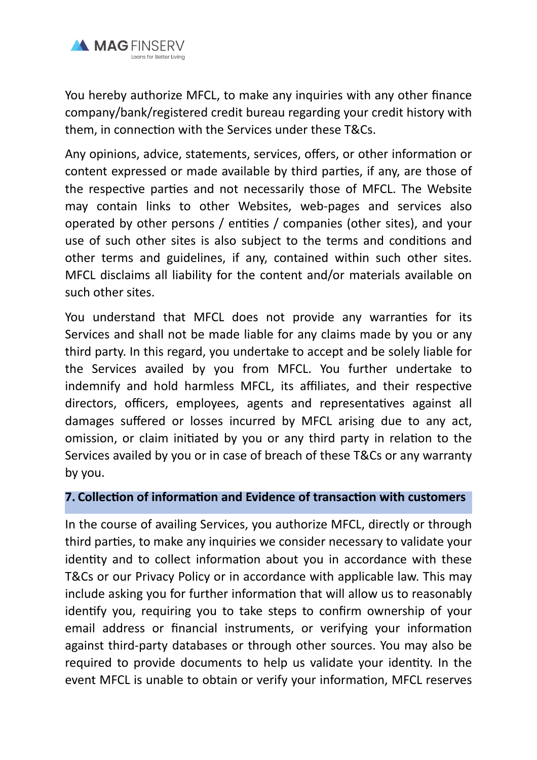

You hereby authorize MFCL, to make any inquiries with any other finance company/bank/registered credit bureau regarding your credit history with them, in connection with the Services under these T&Cs.

Any opinions, advice, statements, services, offers, or other information or content expressed or made available by third parties, if any, are those of the respective parties and not necessarily those of MFCL. The Website may contain links to other Websites, web-pages and services also operated by other persons / entities / companies (other sites), and your use of such other sites is also subject to the terms and conditions and other terms and guidelines, if any, contained within such other sites. MFCL disclaims all liability for the content and/or materials available on such other sites.

You understand that MFCL does not provide any warranties for its Services and shall not be made liable for any claims made by you or any third party. In this regard, you undertake to accept and be solely liable for the Services availed by you from MFCL. You further undertake to indemnify and hold harmless MFCL, its affiliates, and their respective directors, officers, employees, agents and representatives against all damages suffered or losses incurred by MFCL arising due to any act, omission, or claim initiated by you or any third party in relation to the Services availed by you or in case of breach of these T&Cs or any warranty by you.

#### **7. Collection of information and Evidence of transaction with customers**

In the course of availing Services, you authorize MFCL, directly or through third parties, to make any inquiries we consider necessary to validate your identity and to collect information about you in accordance with these T&Cs or our Privacy Policy or in accordance with applicable law. This may include asking you for further information that will allow us to reasonably identify you, requiring you to take steps to confirm ownership of your email address or financial instruments, or verifying your information against third-party databases or through other sources. You may also be required to provide documents to help us validate your identity. In the event MFCL is unable to obtain or verify your information, MFCL reserves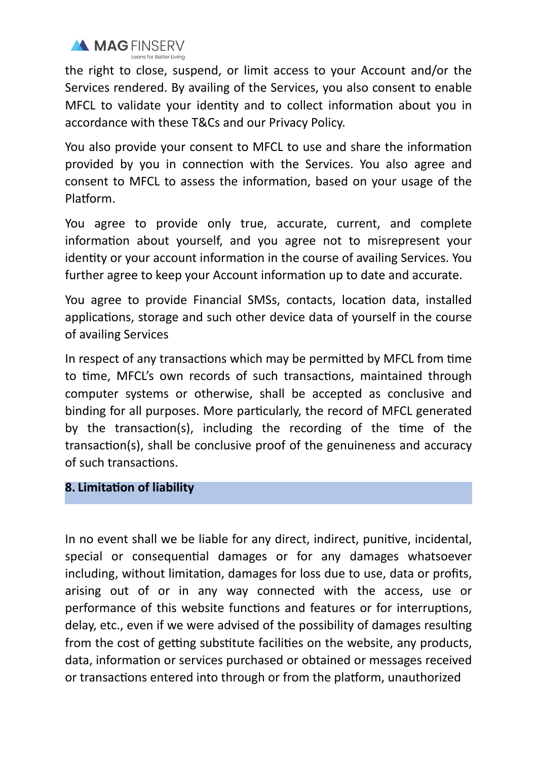

the right to close, suspend, or limit access to your Account and/or the Services rendered. By availing of the Services, you also consent to enable MFCL to validate your identity and to collect information about you in accordance with these T&Cs and our Privacy Policy.

You also provide your consent to MFCL to use and share the information provided by you in connection with the Services. You also agree and consent to MFCL to assess the information, based on your usage of the Platform.

You agree to provide only true, accurate, current, and complete information about yourself, and you agree not to misrepresent your identity or your account information in the course of availing Services. You further agree to keep your Account information up to date and accurate.

You agree to provide Financial SMSs, contacts, location data, installed applications, storage and such other device data of yourself in the course of availing Services

In respect of any transactions which may be permitted by MFCL from time to time, MFCL's own records of such transactions, maintained through computer systems or otherwise, shall be accepted as conclusive and binding for all purposes. More particularly, the record of MFCL generated by the transaction(s), including the recording of the time of the transaction(s), shall be conclusive proof of the genuineness and accuracy of such transactions.

### **8. Limitation of liability**

In no event shall we be liable for any direct, indirect, punitive, incidental, special or consequential damages or for any damages whatsoever including, without limitation, damages for loss due to use, data or profits, arising out of or in any way connected with the access, use or performance of this website functions and features or for interruptions, delay, etc., even if we were advised of the possibility of damages resulting from the cost of getting substitute facilities on the website, any products, data, information or services purchased or obtained or messages received or transactions entered into through or from the platform, unauthorized